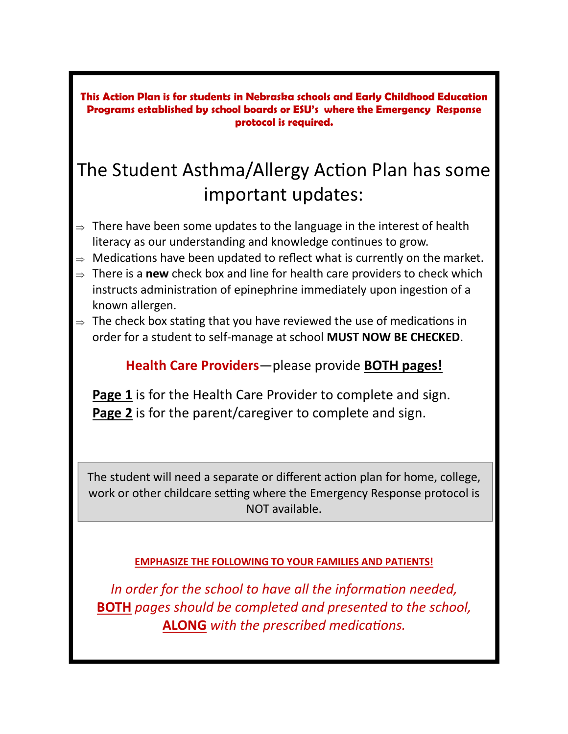**This Action Plan is for students in Nebraska schools and Early Childhood Education Programs established by school boards or ESU's where the Emergency Response protocol is required.** 

### The Student Asthma/Allergy Action Plan has some important updates:

- $\Rightarrow$  There have been some updates to the language in the interest of health literacy as our understanding and knowledge continues to grow.
- $\Rightarrow$  Medications have been updated to reflect what is currently on the market.
- ⇒ There is a **new** check box and line for health care providers to check which instructs administration of epinephrine immediately upon ingestion of a known allergen.
- $\Rightarrow$  The check box stating that you have reviewed the use of medications in order for a student to self-manage at school **MUST NOW BE CHECKED**.

### **Health Care Providers**—please provide **BOTH pages!**

 **Page 1** is for the Health Care Provider to complete and sign.  **Page 2** is for the parent/caregiver to complete and sign.

The student will need a separate or different action plan for home, college, work or other childcare setting where the Emergency Response protocol is NOT available.

#### **EMPHASIZE THE FOLLOWING TO YOUR FAMILIES AND PATIENTS!**

In order for the school to have all the information needed, **BOTH** *pages should be completed and presented to the school,*  **ALONG** with the prescribed medications.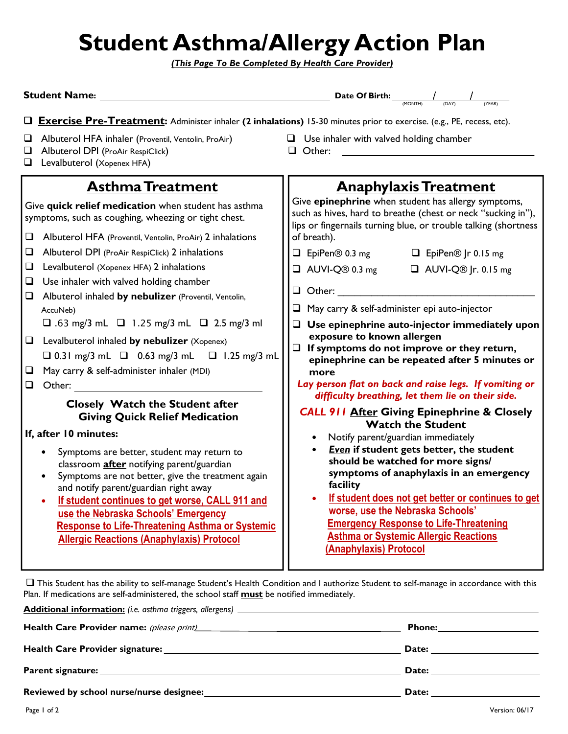# **Student Asthma/Allergy Action Plan**

*(This Page To Be Completed By Health Care Provider)*

| <b>Student Name:</b>                                                                                                                                                                                                                                                                                                                                                                                      | Date Of Birth:<br>(YEAR)                                                                                                                                                                                                                                                                                                                                                                                                    |  |  |  |  |
|-----------------------------------------------------------------------------------------------------------------------------------------------------------------------------------------------------------------------------------------------------------------------------------------------------------------------------------------------------------------------------------------------------------|-----------------------------------------------------------------------------------------------------------------------------------------------------------------------------------------------------------------------------------------------------------------------------------------------------------------------------------------------------------------------------------------------------------------------------|--|--|--|--|
| <b>Exercise Pre-Treatment:</b> Administer inhaler (2 inhalations) 15-30 minutes prior to exercise. (e.g., PE, recess, etc).                                                                                                                                                                                                                                                                               |                                                                                                                                                                                                                                                                                                                                                                                                                             |  |  |  |  |
| Albuterol HFA inhaler (Proventil, Ventolin, ProAir)<br>⊔<br>Albuterol DPI (ProAir RespiClick)<br>⊔<br>Levalbuterol (Xopenex HFA)<br>❏                                                                                                                                                                                                                                                                     | $\Box$ Use inhaler with valved holding chamber<br>Other:<br>ப                                                                                                                                                                                                                                                                                                                                                               |  |  |  |  |
| <b>Asthma Treatment</b>                                                                                                                                                                                                                                                                                                                                                                                   | <b>Anaphylaxis Treatment</b>                                                                                                                                                                                                                                                                                                                                                                                                |  |  |  |  |
| Give quick relief medication when student has asthma<br>symptoms, such as coughing, wheezing or tight chest.<br>❏<br>Albuterol HFA (Proventil, Ventolin, ProAir) 2 inhalations<br>$\Box$<br>Albuterol DPI (ProAir RespiClick) 2 inhalations<br>Levalbuterol (Xopenex HFA) 2 inhalations<br>⊔<br>Use inhaler with valved holding chamber<br>u<br>Albuterol inhaled by nebulizer (Proventil, Ventolin,<br>⊔ | Give epinephrine when student has allergy symptoms,<br>such as hives, hard to breathe (chest or neck "sucking in"),<br>lips or fingernails turning blue, or trouble talking (shortness<br>of breath).<br>$\Box$ EpiPen® 0.3 mg<br>□ EpiPen <sup>®</sup> Jr 0.15 mg<br>$\Box$ AUVI-Q® 0.3 mg<br>$\Box$ AUVI-Q® Jr. 0.15 mg<br>$\Box$ Other:                                                                                  |  |  |  |  |
| AccuNeb)<br>$\Box$ .63 mg/3 mL $\Box$ 1.25 mg/3 mL $\Box$ 2.5 mg/3 ml                                                                                                                                                                                                                                                                                                                                     | $\Box$ May carry & self-administer epi auto-injector                                                                                                                                                                                                                                                                                                                                                                        |  |  |  |  |
| Levalbuterol inhaled by nebulizer (Xopenex)<br>$\Box$<br>$\Box$ 0.31 mg/3 mL $\Box$ 0.63 mg/3 mL $\Box$ 1.25 mg/3 mL<br>May carry & self-administer inhaler (MDI)<br>$\Box$<br>Other:<br>$\Box$                                                                                                                                                                                                           | Use epinephrine auto-injector immediately upon<br>exposure to known allergen<br>$\Box$ If symptoms do not improve or they return,<br>epinephrine can be repeated after 5 minutes or<br>more<br>Lay person flat on back and raise legs. If vomiting or<br>difficulty breathing, let them lie on their side.                                                                                                                  |  |  |  |  |
| Closely Watch the Student after<br><b>Giving Quick Relief Medication</b>                                                                                                                                                                                                                                                                                                                                  | <b>CALL 911 After Giving Epinephrine &amp; Closely</b>                                                                                                                                                                                                                                                                                                                                                                      |  |  |  |  |
| If, after 10 minutes:                                                                                                                                                                                                                                                                                                                                                                                     | <b>Watch the Student</b><br>Notify parent/guardian immediately<br>Even if student gets better, the student<br>should be watched for more signs/<br>symptoms of anaphylaxis in an emergency<br>facility<br>If student does not get better or continues to get<br>worse, use the Nebraska Schools'<br><b>Emergency Response to Life-Threatening</b><br><b>Asthma or Systemic Allergic Reactions</b><br>(Anaphylaxis) Protocol |  |  |  |  |
| Symptoms are better, student may return to<br>classroom after notifying parent/guardian<br>Symptoms are not better, give the treatment again<br>and notify parent/guardian right away<br>If student continues to get worse, CALL 911 and<br>۰<br>use the Nebraska Schools' Emergency<br><b>Response to Life-Threatening Asthma or Systemic</b><br><b>Allergic Reactions (Anaphylaxis) Protocol</b>        |                                                                                                                                                                                                                                                                                                                                                                                                                             |  |  |  |  |

 This Student has the ability to self-manage Student's Health Condition and I authorize Student to self-manage in accordance with this Plan. If medications are self-administered, the school staff **must** be notified immediately.

|                                                                                                                                                                                                                                     | Phone: <u>___________________________</u>                                                                                                                                                                                      |
|-------------------------------------------------------------------------------------------------------------------------------------------------------------------------------------------------------------------------------------|--------------------------------------------------------------------------------------------------------------------------------------------------------------------------------------------------------------------------------|
|                                                                                                                                                                                                                                     | Date: <u>___________</u>                                                                                                                                                                                                       |
|                                                                                                                                                                                                                                     | Date: the contract of the contract of the contract of the contract of the contract of the contract of the contract of the contract of the contract of the contract of the contract of the contract of the contract of the cont |
| <b>Reviewed by school nurse/nurse designee:</b> Next and the state of the state of the state of the state of the state of the state of the state of the state of the state of the state of the state of the state of the state of t | Date: the contract of the contract of the contract of the contract of the contract of the contract of the contract of the contract of the contract of the contract of the contract of the contract of the contract of the cont |